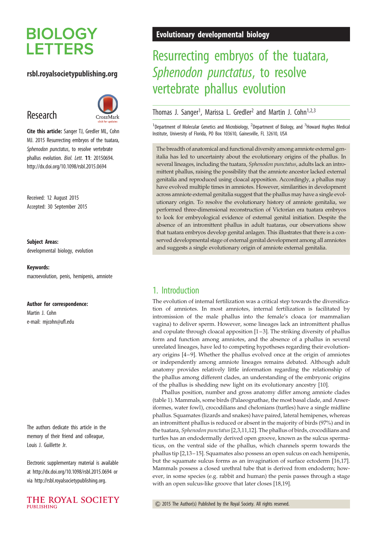# **BIOLOGY LETTERS**

### rsbl.royalsocietypublishing.org

## Research



Cite this article: Sanger TJ, Gredler ML, Cohn MJ. 2015 Resurrecting embryos of the tuatara, Sphenodon punctatus, to resolve vertebrate phallus evolution. Biol. Lett. 11: 20150694. http://dx.doi.org/10.1098/rsbl.2015.0694

Received: 12 August 2015 Accepted: 30 September 2015

#### Subject Areas:

developmental biology, evolution

Keywords: macroevolution, penis, hemipenis, amniote

#### Author for correspondence:

Martin J. Cohn e-mail: [mjcohn@ufl.edu](mailto:mjcohn@ufl.edu)

The authors dedicate this article in the memory of their friend and colleague, Louis J. Guillette Jr.

Electronic supplementary material is available at<http://dx.doi.org/10.1098/rsbl.2015.0694> or via<http://rsbl.royalsocietypublishing.org>.



### Evolutionary developmental biology

# Resurrecting embryos of the tuatara, Sphenodon punctatus, to resolve vertebrate phallus evolution

Thomas J. Sanger<sup>1</sup>, Marissa L. Gredler<sup>2</sup> and Martin J. Cohn<sup>1,2,3</sup>

<sup>1</sup>Department of Molecular Genetics and Microbiology, <sup>2</sup>Department of Biology, and <sup>3</sup>Howard Hughes Medical Institute, University of Florida, PO Box 103610, Gainesville, FL 32610, USA

The breadth of anatomical and functional diversity among amniote external genitalia has led to uncertainty about the evolutionary origins of the phallus. In several lineages, including the tuatara, Sphenodon punctatus, adults lack an intromittent phallus, raising the possibility that the amniote ancestor lacked external genitalia and reproduced using cloacal apposition. Accordingly, a phallus may have evolved multiple times in amniotes. However, similarities in development across amniote external genitalia suggest that the phallus may have a single evolutionary origin. To resolve the evolutionary history of amniote genitalia, we performed three-dimensional reconstruction of Victorian era tuatara embryos to look for embryological evidence of external genital initiation. Despite the absence of an intromittent phallus in adult tuataras, our observations show that tuatara embryos develop genital anlagen. This illustrates that there is a conserved developmental stage of external genital development among all amniotes and suggests a single evolutionary origin of amniote external genitalia.

### 1. Introduction

The evolution of internal fertilization was a critical step towards the diversification of amniotes. In most amniotes, internal fertilization is facilitated by intromission of the male phallus into the female's cloaca (or mammalian vagina) to deliver sperm. However, some lineages lack an intromittent phallus and copulate through cloacal apposition [\[1](#page-3-0) –[3\]](#page-3-0). The striking diversity of phallus form and function among amniotes, and the absence of a phallus in several unrelated lineages, have led to competing hypotheses regarding their evolution-ary origins [\[4](#page-3-0)-9]. Whether the phallus evolved once at the origin of amniotes or independently among amniote lineages remains debated. Although adult anatomy provides relatively little information regarding the relationship of the phallus among different clades, an understanding of the embryonic origins of the phallus is shedding new light on its evolutionary ancestry [[10\]](#page-3-0).

Phallus position, number and gross anatomy differ among amniote clades ([table 1](#page-1-0)). Mammals, some birds (Palaeognathae, the most basal clade, and Anseriformes, water fowl), crocodilians and chelonians (turtles) have a single midline phallus. Squamates (lizards and snakes) have paired, lateral hemipenes, whereas an intromittent phallus is reduced or absent in the majority of birds (97%) and in the tuatara, Sphenodon punctatus[\[2,3](#page-3-0),[11,12\]](#page-3-0). The phallus of birds, crocodilians and turtles has an endodermally derived open groove, known as the sulcus spermaticus, on the ventral side of the phallus, which channels sperm towards the phallus tip [\[2,13](#page-3-0)– [15](#page-4-0)]. Squamates also possess an open sulcus on each hemipenis, but the squamate sulcus forms as an invagination of surface ectoderm [\[16](#page-4-0),[17\]](#page-4-0). Mammals possess a closed urethral tube that is derived from endoderm; however, in some species (e.g. rabbit and human) the penis passes through a stage with an open sulcus-like groove that later closes [[18,19\]](#page-4-0).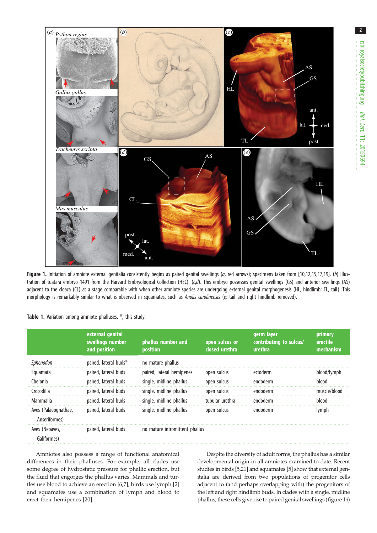<span id="page-1-0"></span>

Figure 1. Initiation of amniote external genitalia consistently begins as paired genital swellings (a, red arrows); specimens taken from [\[10,12](#page-3-0)[,15,17](#page-4-0),[19\]](#page-4-0). (b) Illustration of tuatara embryo 1491 from the Harvard Embryological Collection (HEC). (c,d). This embryo possesses genital swellings (GS) and anterior swellings (AS) adiacent to the cloaca (CL) at a stage comparable with when other amniote species are undergoing external genital morphogenesis (HL, hindlimb; TL, tail). This morphology is remarkably similar to what is observed in squamates, such as Anolis carolinensis (e; tail and right hindlimb removed).

|                                       | external genital<br>swellings number<br>and position | phallus number and<br>position | open sulcus or<br>closed urethra | germ layer<br>contributing to sulcus/<br>urethra | primary<br>erectile<br>mechanism |
|---------------------------------------|------------------------------------------------------|--------------------------------|----------------------------------|--------------------------------------------------|----------------------------------|
| Sphenodon                             | paired, lateral buds*                                | no mature phallus              |                                  |                                                  |                                  |
| Squamata                              | paired, lateral buds                                 | paired, lateral hemipenes      | open sulcus                      | ectoderm                                         | blood/lymph                      |
| Chelonia                              | paired, lateral buds                                 | single, midline phallus        | open sulcus                      | endoderm                                         | blood                            |
| Crocodilia                            | paired, lateral buds                                 | single, midline phallus        | open sulcus                      | endoderm                                         | muscle/blood                     |
| Mammalia                              | paired, lateral buds                                 | single, midline phallus        | tubular urethra                  | endoderm                                         | blood                            |
| Aves (Palaeognathae,<br>Anseriformes) | paired, lateral buds                                 | single, midline phallus        | open sulcus                      | endoderm                                         | lymph                            |
| Aves (Neoaves,<br>Galiformes)         | paired, lateral buds                                 | no mature intromittent phallus |                                  |                                                  |                                  |

Table 1. Variation among amniote phalluses. \*, this study.

Amniotes also possess a range of functional anatomical differences in their phalluses. For example, all clades use some degree of hydrostatic pressure for phallic erection, but the fluid that engorges the phallus varies. Mammals and turtles use blood to achieve an erection [\[6,7\]](#page-3-0), birds use lymph [\[2\]](#page-3-0) and squamates use a combination of lymph and blood to erect their hemipenes [[20\]](#page-4-0).

Despite the diversity of adult forms, the phallus has a similar developmental origin in all amniotes examined to date. Recent studies in birds [\[5](#page-3-0)[,21](#page-4-0)] and squamates [[5\]](#page-3-0) show that external genitalia are derived from two populations of progenitor cells adjacent to (and perhaps overlapping with) the progenitors of the left and right hindlimb buds. In clades with a single, midline phallus, these cells give rise to paired genital swellings (figure 1a)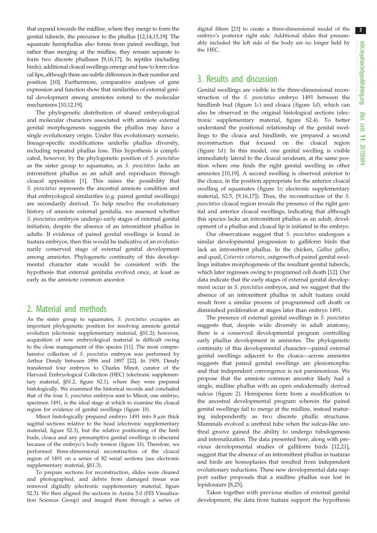3

that expand towards the midline, where they merge to form the genital tubercle, the precursor to the phallus [\[12,14,](#page-3-0)[15,19\]](#page-4-0). The squamate hemiphallus also forms from paired swellings, but rather than merging at the midline, they remain separate to form two discrete phalluses [\[9,](#page-3-0)[16](#page-4-0),[17](#page-4-0)]. In reptiles (including birds), additional cloacal swellings emerge and fuse to form cloacal lips, although there are subtle differences in their number and position [[10](#page-3-0)]. Furthermore, comparative analyses of gene expression and function show that similarities of external genital development among amniotes extend to the molecular mechanisms [[10](#page-3-0),[12](#page-3-0),[19](#page-4-0)].

The phylogenetic distribution of shared embryological and molecular characters associated with amniote external genital morphogenesis suggests the phallus may have a single evolutionary origin. Under this evolutionary scenario, lineage-specific modifications underlie phallus diversity, including repeated phallus loss. This hypothesis is complicated, however, by the phylogenetic position of S. punctatus as the sister group to squamates, as S. punctatus lacks an intromittent phallus as an adult and reproduces through cloacal apposition [[1](#page-3-0)]. This raises the possibility that S. punctatus represents the ancestral amniote condition and that embryological similarities (e.g. paired genital swellings) are secondarily derived. To help resolve the evolutionary history of amniote external genitalia, we assessed whether S. punctatus embryos undergo early stages of external genital initiation, despite the absence of an intromittent phallus in adults. If evidence of paired genital swellings is found in tuatara embryos, then this would be indicative of an evolutionarily conserved stage of external genital development among amniotes. Phylogenetic continuity of this developmental character state would be consistent with the hypothesis that external genitalia evolved once, at least as early as the amniote common ancestor.

### 2. Material and methods

As the sister group to squamates, S. punctatus occupies an important phylogenetic position for resolving amniote genital evolution (electronic supplementary material, §S1.2); however, acquisition of new embryological material is difficult owing to the close management of this species [[11](#page-3-0)]. The most comprehensive collection of S. punctatus embryos was performed by Arthur Dendy between 1896 and 1897 [[22](#page-4-0)]. In 1909, Dendy transferred four embryos to Charles Minot, curator of the Harvard Embryological Collection (HEC) (electronic supplementary material, §S1.2, figure S2.1), where they were prepared histologically. We examined the historical records and concluded that of the four S. punctatus embryos sent to Minot, one embryo, specimen 1491, is the ideal stage at which to examine the cloacal region for evidence of genital swellings ([figure 1](#page-1-0)b).

Minot histologically prepared embryo 1491 into  $8 \mu m$  thick sagittal sections relative to the head (electronic supplementary material, figure S2.3), but the relative positioning of the limb buds, cloaca and any presumptive genital swellings is obscured because of the embryo's body torsion ([figure 1](#page-1-0)b). Therefore, we performed three-dimensional reconstruction of the cloacal region of 1491 on a series of 82 serial sections (see electronic supplementary material, §S1.3).

To prepare sections for reconstruction, slides were cleaned and photographed, and debris from damaged tissue was removed digitally (electronic supplementary material, figure S2.3). We then aligned the sections in Amira 5.0 (FEI Visualization Sciences Group) and imaged them through a series of

digital filters [\[23\]](#page-4-0) to create a three-dimensional model of the embryo's posterior right side. Additional slides that presumably included the left side of the body are no longer held by the HEC.

### 3. Results and discussion

Genital swellings are visible in the three-dimensional reconstruction of the S. punctatus embryo 1491 between the hindlimb bud [\(figure 1](#page-1-0)c) and cloaca ([figure 1](#page-1-0)d), which can also be observed in the original histological sections (electronic supplementary material, figure S2.4). To better understand the positional relationship of the genital swellings to the cloaca and hindlimb, we prepared a second reconstruction that focused on the cloacal region (figure  $1d$ ). In this model, one genital swelling is visible immediately lateral to the cloacal urodeum, at the same position where one finds the right genital swelling in other amniotes [\[10](#page-3-0)[,19](#page-4-0)]. A second swelling is observed anterior to the cloaca, in the position appropriate for the anterior cloacal swelling of squamates [\(figure 1](#page-1-0)e; electronic supplementary material, S2.5, [[9](#page-3-0)[,16](#page-4-0),[17\]](#page-4-0)). Thus, the reconstruction of the S. punctatus cloacal region reveals the presence of the right genital and anterior cloacal swellings, indicating that although this species lacks an intromittent phallus as an adult, development of a phallus and cloacal lip is initiated in the embryo.

Our observations suggest that S. punctatus undergoes a similar developmental progression to galliform birds that lack an intromittent phallus. In the chicken, Gallus gallus, and quail, Coturnix coturnix, outgrowth of paired genital swellings initiates morphogenesis of the resultant genital tubercle, which later regresses owing to programed cell death [[12\]](#page-3-0). Our data indicate that the early stages of external genital development occur in S. punctatus embryos, and we suggest that the absence of an intromittent phallus in adult tuatara could result from a similar process of programmed cell death or diminished proliferation at stages later than embryo 1491.

The presence of external genital swellings in S. punctatus suggests that, despite wide diversity in adult anatomy, there is a conserved developmental program controlling early phallus development in amniotes. The phylogenetic continuity of this developmental character—paired external genital swellings adjacent to the cloaca—across amniotes suggests that paired genital swellings are plesiomorphic and that independent convergence is not parsimonious. We propose that the amniote common ancestor likely had a single, midline phallus with an open endodermally derived sulcus ([figure 2](#page-3-0)). Hemipenes form from a modification to the ancestral developmental program wherein the paired genital swellings fail to merge at the midline, instead maturing independently as two discrete phallic structures. Mammals evolved a urethral tube when the sulcus-like urethral groove gained the ability to undergo tubulogenesis and internalization. The data presented here, along with previous developmental studies of galliform birds [\[12](#page-3-0),[21\]](#page-4-0), suggest that the absence of an intromittent phallus in tuataras and birds are homoplasies that resulted from independent evolutionary reductions. These new developmental data support earlier proposals that a midline phallus was lost in lepidosaurs [\[8](#page-3-0)[,25](#page-4-0)].

Taken together with previous studies of external genital development, the data from tuatara support the hypothesis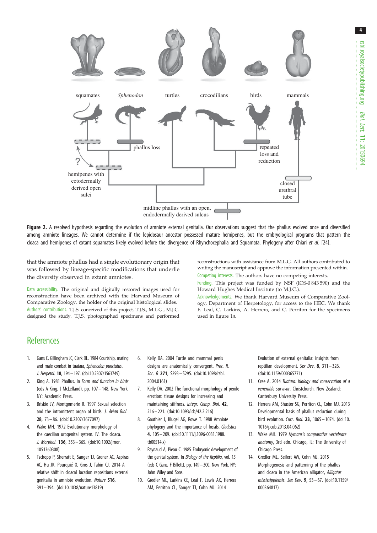<span id="page-3-0"></span>

Figure 2. A resolved hypothesis regarding the evolution of amniote external genitalia. Our observations suggest that the phallus evolved once and diversified among amniote lineages. We cannot determine if the lepidosaur ancestor possessed mature hemipenes, but the embryological programs that pattern the cloaca and hemipenes of extant squamates likely evolved before the divergence of Rhynchocephalia and Squamata. Phylogeny after Chiari et al. [\[24\]](#page-4-0).

that the amniote phallus had a single evolutionary origin that was followed by lineage-specific modifications that underlie the diversity observed in extant amniotes.

Data accessibility. The original and digitally restored images used for reconstruction have been archived with the Harvard Museum of Comparative Zoology, the holder of the original histological slides. Authors' contributions. T.J.S. conceived of this project. T.J.S., M.L.G., M.J.C. designed the study. T.J.S. photographed specimens and performed

reconstructions with assistance from M.L.G. All authors contributed to writing the manuscript and approve the information presented within. Competing interests. The authors have no competing interests.

Funding. This project was funded by NSF (IOS-0 843 590) and the Howard Hughes Medical Institute (to M.J.C.).

Acknowledgements. We thank Harvard Museum of Comparative Zoology, Department of Herpetology, for access to the HEC. We thank F. Leal, C. Larkins, A. Herrera, and C. Perriton for the specimens used in [figure 1](#page-1-0)a.

### **References**

- 1. Gans C, Gillingham JC, Clark DL. 1984 Courtship, mating and male combat in tuatara, Sphenodon punctatus. J. Herpetol. 18, 194–197. [\(doi:10.2307/1563749\)](http://dx.doi.org/10.2307/1563749)
- 2. King A. 1981 Phallus. In Form and function in birds (eds A King, J McLelland), pp. 107– 148. New York, NY: Academic Press.
- 3. Briskie JV, Montgomerie R. 1997 Sexual selection and the intromittent organ of birds. J. Avian Biol. 28, 73 – 86. ([doi:10.2307/3677097](http://dx.doi.org/10.2307/3677097))
- 4. Wake MH. 1972 Evolutionary morphology of the caecilian urogenital system. IV. The cloaca. J. Morphol. 136, 353 – 365. ([doi:10.1002/jmor.](http://dx.doi.org/10.1002/jmor.1051360308) [1051360308\)](http://dx.doi.org/10.1002/jmor.1051360308)
- 5. Tschopp P, Sherratt E, Sanger TJ, Groner AC, Aspiras AC, Hu JK, Pourquié O, Gros J, Tabin CJ. 2014 A relative shift in cloacal location repositions external genitalia in amniote evolution. Nature 516, 391– 394. ([doi:10.1038/nature13819](http://dx.doi.org/10.1038/nature13819))
- 6. Kelly DA. 2004 Turtle and mammal penis designs are anatomically convergent. Proc. R. Soc. B 271, S293-S295. ([doi:10.1098/rsbl.](http://dx.doi.org/10.1098/rsbl.2004.0161) [2004.0161\)](http://dx.doi.org/10.1098/rsbl.2004.0161)
- 7. Kelly DA. 2002 The functional morphology of penile erection: tissue designs for increasing and maintaining stiffness. Integr. Comp. Biol. 42, 216 – 221. [\(doi:10.1093/icb/42.2.216\)](http://dx.doi.org/10.1093/icb/42.2.216)
- 8. Gauthier J, Klugel AG, Rowe T. 1988 Amniote phylogeny and the importance of fossils. Cladistics 4, 105–209. ([doi:10.1111/j.1096-0031.1988.](http://dx.doi.org/10.1111/j.1096-0031.1988.tb00514.x) [tb00514.x](http://dx.doi.org/10.1111/j.1096-0031.1988.tb00514.x))
- 9. Raynaud A, Pieau C. 1985 Embryonic development of the genital system. In Biology of the Reptilia, vol. 15 (eds C Gans, F Billett), pp. 149–300. New York, NY: John Wiley and Sons.
- 10. Gredler ML, Larkins CE, Leal F, Lewis AK, Herrera AM, Perriton CL, Sanger TJ, Cohn MJ. 2014

Evolution of external genitalia: insights from reptilian development. Sex Dev. 8, 311– 326. ([doi:10.1159/000365771\)](http://dx.doi.org/10.1159/000365771)

- 11. Cree A. 2014 Tuatara: biology and conservation of a venerable survivor. Christchurch, New Zealand: Canterbury University Press.
- 12. Herrera AM, Shuster SG, Perriton CL, Cohn MJ. 2013 Developmental basis of phallus reduction during bird evolution. Curr. Biol. **23**, 1065 - 1074. [\(doi:10.](http://dx.doi.org/10.1016/j.cub.2013.04.062) [1016/j.cub.2013.04.062](http://dx.doi.org/10.1016/j.cub.2013.04.062))
- 13. Wake MH. 1979 Hymans's comparative vertebrate anatomy, 3rd edn. Chicago, IL: The University of Chicago Press.
- 14. Gredler ML, Seifert AW, Cohn MJ. 2015 Morphogenesis and patterning of the phallus and cloaca in the American alligator, Alligator mississippiensis. Sex Dev.  $9, 53-67.$  [\(doi:10.1159/](http://dx.doi.org/10.1159/000364817) [000364817](http://dx.doi.org/10.1159/000364817))